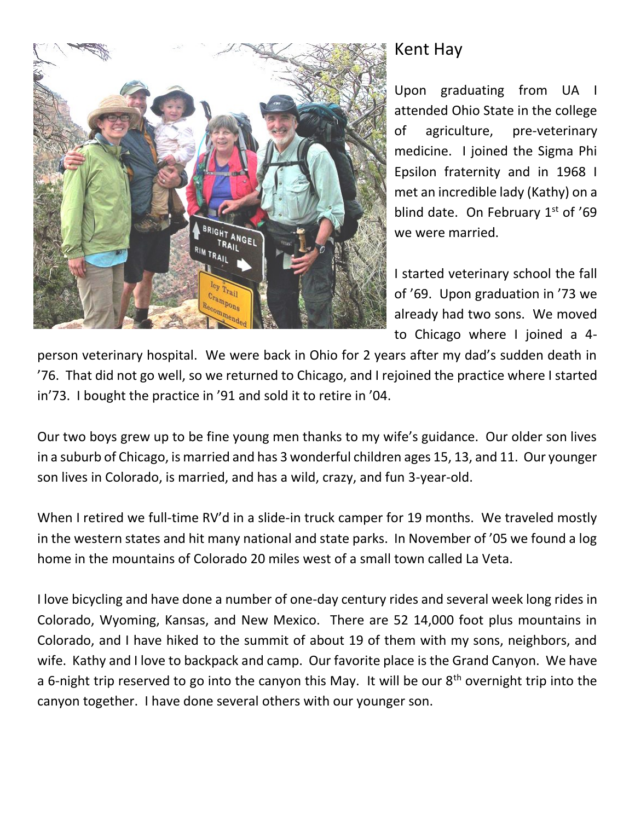

## Kent Hay

Upon graduating from UA I attended Ohio State in the college of agriculture, pre-veterinary medicine. I joined the Sigma Phi Epsilon fraternity and in 1968 I met an incredible lady (Kathy) on a blind date. On February  $1<sup>st</sup>$  of '69 we were married.

I started veterinary school the fall of '69. Upon graduation in '73 we already had two sons. We moved to Chicago where I joined a 4-

person veterinary hospital. We were back in Ohio for 2 years after my dad's sudden death in '76. That did not go well, so we returned to Chicago, and I rejoined the practice where I started in'73. I bought the practice in '91 and sold it to retire in '04.

Our two boys grew up to be fine young men thanks to my wife's guidance. Our older son lives in a suburb of Chicago, is married and has 3 wonderful children ages 15, 13, and 11. Our younger son lives in Colorado, is married, and has a wild, crazy, and fun 3-year-old.

When I retired we full-time RV'd in a slide-in truck camper for 19 months. We traveled mostly in the western states and hit many national and state parks. In November of '05 we found a log home in the mountains of Colorado 20 miles west of a small town called La Veta.

I love bicycling and have done a number of one-day century rides and several week long rides in Colorado, Wyoming, Kansas, and New Mexico. There are 52 14,000 foot plus mountains in Colorado, and I have hiked to the summit of about 19 of them with my sons, neighbors, and wife. Kathy and I love to backpack and camp. Our favorite place is the Grand Canyon. We have a 6-night trip reserved to go into the canyon this May. It will be our  $8<sup>th</sup>$  overnight trip into the canyon together. I have done several others with our younger son.